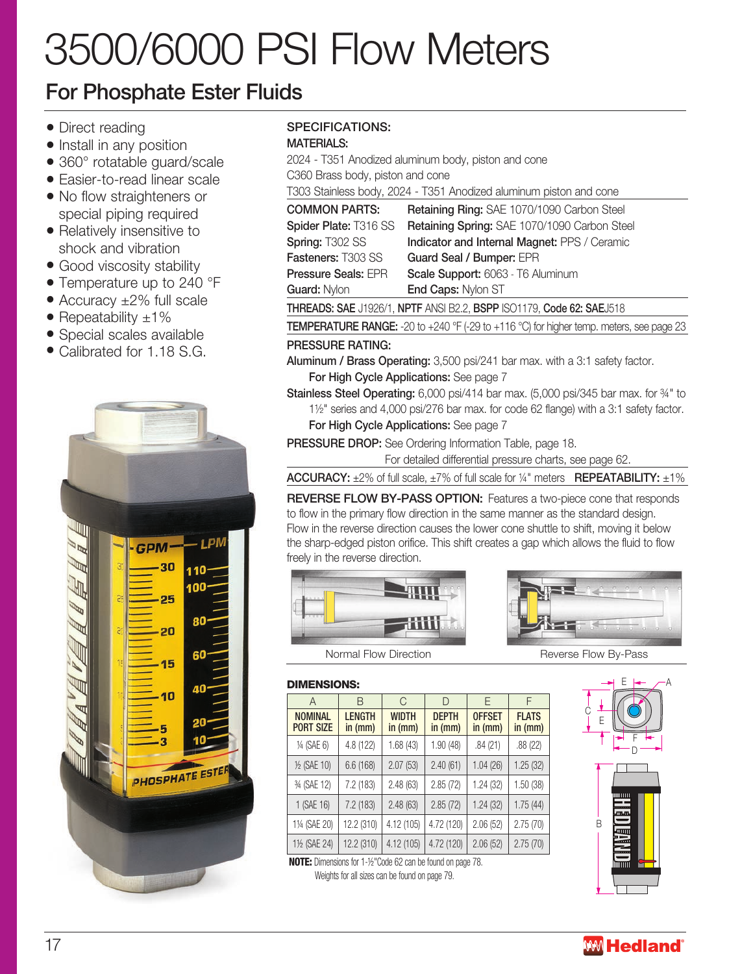# 3500/6000 PSI Flow Meters

## For Phosphate Ester Fluids

- Direct reading
- Install in any position
- 360° rotatable guard/scale
- Easier-to-read linear scale
- No flow straighteners or special piping required
- Relatively insensitive to shock and vibration
- Good viscosity stability
- Temperature up to 240 °F
- Accuracy ±2% full scale
- Repeatability  $\pm 1\%$
- Special scales available
- Calibrated for 1.18 S.G.



## SPECIFICATIONS:

### MATERIALS:

2024 - T351 Anodized aluminum body, piston and cone C360 Brass body, piston and cone T303 Stainless body, 2024 - T351 Anodized aluminum piston and cone

| <b>COMMON PARTS:</b>                                                 | Retaining Ring: SAE 1070/1090 Carbon Steel                                                                         |  |  |  |  |  |  |
|----------------------------------------------------------------------|--------------------------------------------------------------------------------------------------------------------|--|--|--|--|--|--|
| Spider Plate: T316 SS                                                | Retaining Spring: SAE 1070/1090 Carbon Steel                                                                       |  |  |  |  |  |  |
| Spring: T302 SS                                                      | Indicator and Internal Magnet: PPS / Ceramic                                                                       |  |  |  |  |  |  |
| Fasteners: T303 SS                                                   | Guard Seal / Bumper: EPR                                                                                           |  |  |  |  |  |  |
| Pressure Seals: EPR                                                  | Scale Support: 6063 - T6 Aluminum                                                                                  |  |  |  |  |  |  |
| Guard: Nylon                                                         | End Caps: Nylon ST                                                                                                 |  |  |  |  |  |  |
| THREADS: SAE J1926/1, NPTF ANSI B2.2, BSPP ISO1179, Code 62: SAEJ518 |                                                                                                                    |  |  |  |  |  |  |
|                                                                      | <b>TEMPERATURE RANGE:</b> -20 to +240 $^{\circ}$ F (-29 to +116 $^{\circ}$ C) for higher temp. meters, see page 23 |  |  |  |  |  |  |

## PRESSURE RATING:

- Aluminum / Brass Operating: 3,500 psi/241 bar max. with a 3:1 safety factor. For High Cycle Applications: See page 7
- Stainless Steel Operating: 6,000 psi/414 bar max. (5,000 psi/345 bar max. for ¾" to 1½" series and 4,000 psi/276 bar max. for code 62 flange) with a 3:1 safety factor.

For High Cycle Applications: See page 7

PRESSURE DROP: See Ordering Information Table, page 18.

For detailed differential pressure charts, see page 62.

ACCURACY:  $\pm 2\%$  of full scale,  $\pm 7\%$  of full scale for  $\frac{1}{4}$ " meters **REPEATABILITY:**  $\pm 1\%$ 

REVERSE FLOW BY-PASS OPTION: Features a two-piece cone that responds to flow in the primary flow direction in the same manner as the standard design. Flow in the reverse direction causes the lower cone shuttle to shift, moving it below the sharp-edged piston orifice. This shift creates a gap which allows the fluid to flow freely in the reverse direction.





#### DIMENSIONS:

| $\overline{A}$                     | B                        | C                       | D                       | F                        | F                       |
|------------------------------------|--------------------------|-------------------------|-------------------------|--------------------------|-------------------------|
| <b>NOMINAL</b><br><b>PORT SIZE</b> | <b>LENGTH</b><br>in (mm) | <b>WIDTH</b><br>in (mm) | <b>DEPTH</b><br>in (mm) | <b>OFFSET</b><br>in (mm) | <b>FLATS</b><br>in (mm) |
| 1/4 (SAE 6)                        | 4.8 (122)                | 1.68(43)                | 1.90(48)                | .84(21)                  | .88 (22)                |
| 1/2 (SAE 10)                       | 6.6(168)                 | 2.07(53)                | 2.40(61)                | 1.04(26)                 | 1.25(32)                |
| 3/4 (SAE 12)                       | 7.2 (183)                | 2.48(63)                | 2.85(72)                | 1.24 (32)                | 1.50 (38)               |
| 1 (SAE 16)                         | 7.2 (183)                | 2.48(63)                | 2.85(72)                | 1.24(32)                 | 1.75(44)                |
| 11/4 (SAE 20)                      | 12.2 (310)               | 4.12 (105)              | 4.72 (120)              | 2.06(52)                 | 2.75(70)                |
| 11/2 (SAE 24)                      | 12.2 (310)               | 4.12 (105)              | 4.72 (120)              | 2.06(52)                 | 2.75(70)                |

NOTE: Dimensions for 1-½"Code 62 can be found on page 78. Weights for all sizes can be found on page 79.



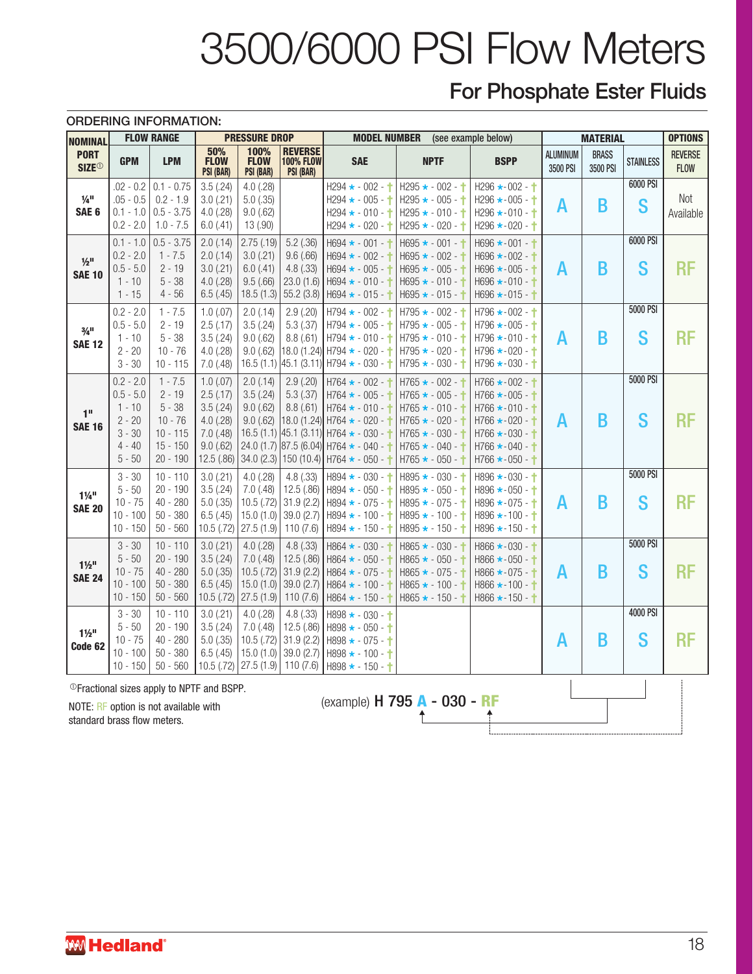# 3500/6000 PSI Flow Meters

## For Phosphate Ester Fluids

|                                                 | <b>ORDERING INFORMATION:</b>                                                           |                                                                                          |                                                                                              |                                                                        |                                                                |                                                                                                                                                                                                                                                                             |                                                                                                                                                                       |                                                                                                                                                                                                      |                             |                          |                  |                               |
|-------------------------------------------------|----------------------------------------------------------------------------------------|------------------------------------------------------------------------------------------|----------------------------------------------------------------------------------------------|------------------------------------------------------------------------|----------------------------------------------------------------|-----------------------------------------------------------------------------------------------------------------------------------------------------------------------------------------------------------------------------------------------------------------------------|-----------------------------------------------------------------------------------------------------------------------------------------------------------------------|------------------------------------------------------------------------------------------------------------------------------------------------------------------------------------------------------|-----------------------------|--------------------------|------------------|-------------------------------|
| <b>NOMINAL</b>                                  |                                                                                        | <b>FLOW RANGE</b>                                                                        |                                                                                              | <b>PRESSURE DROP</b>                                                   |                                                                | <b>MODEL NUMBER</b>                                                                                                                                                                                                                                                         |                                                                                                                                                                       | (see example below)                                                                                                                                                                                  |                             | <b>MATERIAL</b>          |                  | <b>OPTIONS</b>                |
| <b>PORT</b><br><b>SIZE</b> <sup>®</sup>         | <b>GPM</b>                                                                             | <b>LPM</b>                                                                               | 50%<br><b>FLOW</b><br><b>PSI (BAR)</b>                                                       | 100%<br><b>FLOW</b><br><b>PSI (BAR)</b>                                | <b>REVERSE</b><br><b>100% FLOW</b><br><b>PSI (BAR)</b>         | <b>SAE</b>                                                                                                                                                                                                                                                                  | <b>NPTF</b>                                                                                                                                                           | <b>BSPP</b>                                                                                                                                                                                          | <b>ALUMINUM</b><br>3500 PSI | <b>BRASS</b><br>3500 PSI | <b>STAINLESS</b> | <b>REVERSE</b><br><b>FLOW</b> |
| $\frac{1}{4}$ <sup>11</sup><br>SAE <sub>6</sub> | $.02 - 0.2$<br>$.05 - 0.5$<br>$0.1 - 1.0$<br>$0.2 - 2.0$                               | $0.1 - 0.75$<br>$0.2 - 1.9$<br>$0.5 - 3.75$<br>$1.0 - 7.5$                               | 3.5(.24)<br>$3.0$ (.21)<br>$4.0$ $(.28)$<br>6.0(0.41)                                        | $4.0$ $(.28)$<br>$5.0$ (.35)<br>9.0(.62)<br>13 (.90)                   |                                                                | $H294 \star -002 -$<br>$H294 \star - 005 -$<br>$H294 \star - 010 -$<br>$H294 \star - 020 -$                                                                                                                                                                                 | $H295 \star - 002 -$<br>$H295 \star -005 -$<br>$H295 \star - 010 -$<br>$H295 \star - 020 -$                                                                           | H296 $\star$ -002 - $\uparrow$<br>$H296 \star -005 -$<br>H296 $\star$ -010 - $\uparrow$<br>$H296 \star -020 -$                                                                                       | A                           | B                        | 6000 PSI<br>S    | Not<br>Available              |
| $1/2$ <sup>11</sup><br><b>SAE 10</b>            | $0.1 - 1.0$<br>$0.2 - 2.0$<br>$0.5 - 5.0$<br>$1 - 10$<br>$1 - 15$                      | $0.5 - 3.75$<br>$1 - 7.5$<br>$2 - 19$<br>$5 - 38$<br>$4 - 56$                            | 2.0(0.14)<br>2.0(0.14)<br>3.0(.21)<br>$4.0$ (.28)<br>6.5(.45)                                | 2.75(.19)<br>$3.0$ (.21)<br>$6.0$ (.41)<br>9.5(.66)<br>18.5(1.3)       | $5.2$ (.36)<br>9.6(.66)<br>4.8(.33)<br>23.0(1.6)<br>55.2(3.8)  | $H694 \star -001 -$<br>$H694 \star - 002 -$<br>H694 ★ - 005 - 十<br>H694 * - 010 - †<br>H694 * - 015 - †                                                                                                                                                                     | $H695 \star - 001 -$<br>$H695 \star - 002 -$<br>$H695 \star -005 -$<br>$H695 \star - 010 -$<br>$H695 \star - 015 -$                                                   | $H696 * -001 -$<br>$H696 \star -002 -$<br>$H696 \star -005 -$<br>$H696 \star -010 -$<br>$H696 \star -015 -$                                                                                          | A                           | B                        | 6000 PSI<br>S    | <b>RF</b>                     |
| $3/4$ <sup>11</sup><br><b>SAE 12</b>            | $0.2 - 2.0$<br>$0.5 - 5.0$<br>$1 - 10$<br>$2 - 20$<br>$3 - 30$                         | $1 - 7.5$<br>2 - 19<br>$5 - 38$<br>$10 - 76$<br>10 - 115                                 | 1.0(0.07)<br>2.5(.17)<br>3.5(.24)<br>$4.0$ (.28)<br>$7.0$ (.48)                              | 2.0(0.14)<br>3.5(.24)<br>9.0(.62)<br>9.0(.62)<br>16.5(1.1)             | 2.9(.20)<br>5.3(.37)                                           | $H794 \star -002 -$<br>$H794 \star -005 -$<br>8.8 (.61)   H794 $\star$ - 010 - $\uparrow$<br>$18.0$ (1.24) H794 $\star$ - 020 - $\uparrow$<br>$ 45.1 (3.11) $ H794 $\star$ - 030 - $\uparrow$                                                                               | $H795 \star -002 -$<br>$H795 \star -005 -$<br>$H795 \star - 010 -$<br>$H795 \star - 020 -$<br>$H795 \star -030 -$                                                     | $H796 \star 002 - 1$<br>$H796 \star 005 -$<br>$H796 * -010 -$<br>$H796 \star -020 -$<br>$H796 \star -030 -$                                                                                          | A                           | B                        | 5000 PSI<br>S    | <b>RF</b>                     |
| 1 <sup>0</sup><br><b>SAE 16</b>                 | $0.2 - 2.0$<br>$0.5 - 5.0$<br>$1 - 10$<br>$2 - 20$<br>$3 - 30$<br>$4 - 40$<br>$5 - 50$ | $1 - 7.5$<br>$2 - 19$<br>$5 - 38$<br>$10 - 76$<br>$10 - 115$<br>$15 - 150$<br>$20 - 190$ | $1.0$ (.07)<br>2.5(.17)<br>3.5(.24)<br>$4.0$ (.28)<br>$7.0$ $(.48)$<br>9.0(.62)<br>12.5(.86) | 2.0(0.14)<br>3.5(.24)<br>9.0(.62)<br>9.0(.62)                          | 2.9(.20)<br>5.3(.37)                                           | H764 * - 002 - †<br>$H764 \star -005 - 1$<br>8.8 (.61) $H764 \star -010 -$<br>$ 18.0(1.24) $ H764 $\star$ - 020 - $\uparrow$<br>$16.5(1.1)$ 45.1 (3.11) H764 $\star$ - 030 -<br>24.0 (1.7) $ 87.5 (6.04) $ H764 $\star$ - 040 -<br>34.0 (2.3) 150 (10.4) H764 $\star$ - 050 | $H765 \star -002 -$<br>$H765 \star -005 -$<br>$H765 \star -010 -$<br>$H765 \star - 020 -$<br>$H765 \star - 030 -$<br>$H765$ $\star$ - 040 -<br>$H765$ $\star$ - 050 - | $H766$ $\star$ - 002 - $\dagger$<br>$H766 \star -005 -$<br>$H766$ $\star$ -010 - $\uparrow$<br>$H766$ $\star$ -020 - $\uparrow$<br>$H766 \star -030 -$<br>$H766 \star -040 -$<br>$H766 \star -050 -$ | A                           | B                        | 5000 PSI<br>S    | RF                            |
| $1\frac{1}{4}$<br><b>SAE 20</b>                 | $3 - 30$<br>$5 - 50$<br>$10 - 75$<br>$10 - 100$<br>$10 - 150$                          | $10 - 110$<br>$20 - 190$<br>$40 - 280$<br>$50 - 380$<br>$50 - 560$                       | 3.0(.21)<br>3.5(.24)<br>$5.0$ $(.35)$<br>6.5(.45)<br>$10.5$ (.72)                            | $4.0$ (.28)<br>7.0(0.48)<br>$10.5$ $(.72)$<br>15.0(1.0)<br>27.5(1.9)   | 4.8(.33)<br>12.5(.86)<br>31.9(2.2)<br>39.0(2.7)<br>110 $(7.6)$ | $H894 \star -030 -$<br>H894 * - 050 - †<br>$H894 \star -075 -$<br>$H894 \star - 100 -$<br>$H894 \star - 150 -$                                                                                                                                                              | $H895 \star - 030 -$<br>$H895 \star - 050 -$<br>$H895 \star -075 -$<br>$H895 \star - 100 -$<br>$H895 \star - 150 -$                                                   | $H896 \star 030 -$<br>$H896 \star 050 -$<br>$H896 \star 075 -$<br>$H896 \star - 100 -$<br>$H896 \star - 150 -$                                                                                       | A                           | B                        | 5000 PSI<br>S    | <b>RF</b>                     |
| $1\frac{1}{2}$<br><b>SAE 24</b>                 | $3 - 30$<br>$5 - 50$<br>$10 - 75$<br>$10 - 100$<br>$10 - 150$                          | $10 - 110$<br>$20 - 190$<br>$40 - 280$<br>$50 - 380$<br>$50 - 560$                       | 3.0(.21)<br>3.5(.24)<br>$5.0$ $(.35)$<br>6.5(.45)<br>$10.5$ (.72)                            | $4.0$ (.28)<br>$7.0$ (.48)<br>$10.5$ $(.72)$<br>15.0(1.0)<br>27.5(1.9) | 4.8(.33)<br>12.5(.86)<br>31.9(2.2)<br>39.0(2.7)<br>110 $(7.6)$ | $H864 \star - 030 -$<br>$H864 \times -050 -$<br>H864 * - 075 - †<br>$H864 \star - 100 -$<br>H864 * - 150 -                                                                                                                                                                  | $H865 \star - 030 -$<br>$H865 \star - 050 -$<br>$H865$ $\star$ - 075 -<br>$H865 \star - 100 -$<br>$H865$ $\star$ - 150 -                                              | $H866 \star -030 -$<br>$H866 \star -050 -$<br>$H866$ $\star$ - 075 - $\uparrow$<br>$H866$ $\star$ -100 - $\dagger$<br>$H866$ $\star$ -150 - $\dagger$                                                | A                           | B                        | 5000 PSI<br>S    | <b>RF</b>                     |
| $1\frac{1}{2}$<br>Code 62                       | $3 - 30$<br>$5 - 50$<br>$10 - 75$<br>$10 - 100$<br>$10 - 150$                          | $10 - 110$<br>20 - 190<br>$40 - 280$<br>$50 - 380$<br>$50 - 560$                         | 3.0(.21)<br>3.5(.24)<br>$5.0$ (.35)<br>6.5(.45)<br>10.5 (.72)                                | $4.0$ (.28)<br>$7.0$ (.48)<br>10.5(.72)<br>15.0(1.0)<br>27.5(1.9)      | 4.8(.33)<br>12.5 (.86)<br>110 $(7.6)$                          | $H898 \star - 030 -$<br>$H898 \star - 050 -$<br>31.9 (2.2) H898 $\star$ - 075 - $\uparrow$<br>39.0 (2.7) H898 $\star$ - 100 - $\uparrow$<br>$H898 \star - 150 -$                                                                                                            |                                                                                                                                                                       |                                                                                                                                                                                                      | Α                           | B                        | 4000 PSI<br>S    | <b>RF</b>                     |
|                                                 |                                                                                        | <sup>1</sup> Tractional sizes apply to NPTF and BSPP.                                    |                                                                                              |                                                                        |                                                                |                                                                                                                                                                                                                                                                             |                                                                                                                                                                       |                                                                                                                                                                                                      |                             |                          |                  |                               |

STREAD ON THE CONSERVERT ON THE MUSIC.<br>
NOTE: RF option is not available with<br>
standard brass flow meters

standard brass flow meters.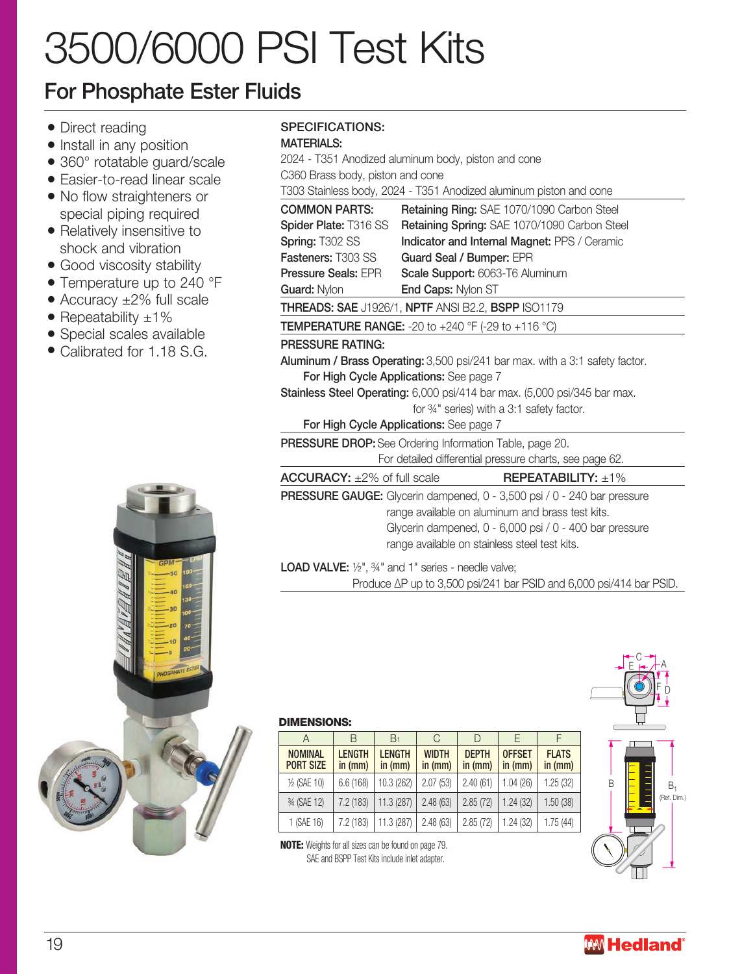# 3500/6000 PSI Test Kits

## For Phosphate Ester Fluids

- Direct reading
- Install in any position
- 360° rotatable guard/scale
- Easier-to-read linear scale
- No flow straighteners or special piping required
- Relatively insensitive to shock and vibration
- Good viscosity stability
- Temperature up to 240 °F
- Accuracy ±2% full scale
- Repeatability  $\pm 1\%$
- Special scales available
- Calibrated for 1.18 S.G.



## SPECIFICATIONS:

### MATERIALS.

| 2024 - T351 Anodized aluminum body, piston and cone         |                                                                                |  |  |  |  |  |  |  |  |
|-------------------------------------------------------------|--------------------------------------------------------------------------------|--|--|--|--|--|--|--|--|
| C360 Brass body, piston and cone                            |                                                                                |  |  |  |  |  |  |  |  |
|                                                             | T303 Stainless body, 2024 - T351 Anodized aluminum piston and cone             |  |  |  |  |  |  |  |  |
| <b>COMMON PARTS:</b>                                        | Retaining Ring: SAE 1070/1090 Carbon Steel                                     |  |  |  |  |  |  |  |  |
| Spider Plate: T316 SS                                       | Retaining Spring: SAE 1070/1090 Carbon Steel                                   |  |  |  |  |  |  |  |  |
| Spring: T302 SS                                             | Indicator and Internal Magnet: PPS / Ceramic                                   |  |  |  |  |  |  |  |  |
| <b>Fasteners: T303 SS</b>                                   | Guard Seal / Bumper: EPR                                                       |  |  |  |  |  |  |  |  |
| <b>Pressure Seals: EPR</b>                                  | Scale Support: 6063-T6 Aluminum                                                |  |  |  |  |  |  |  |  |
| Guard: Nylon                                                | End Caps: Nylon ST                                                             |  |  |  |  |  |  |  |  |
|                                                             | THREADS: SAE J1926/1, NPTF ANSI B2.2, BSPP ISO1179                             |  |  |  |  |  |  |  |  |
|                                                             | <b>TEMPERATURE RANGE:</b> -20 to +240 °F (-29 to +116 °C)                      |  |  |  |  |  |  |  |  |
| <b>PRESSURE RATING:</b>                                     |                                                                                |  |  |  |  |  |  |  |  |
|                                                             | Aluminum / Brass Operating: 3,500 psi/241 bar max. with a 3:1 safety factor.   |  |  |  |  |  |  |  |  |
|                                                             | For High Cycle Applications: See page 7                                        |  |  |  |  |  |  |  |  |
|                                                             | Stainless Steel Operating: 6,000 psi/414 bar max. (5,000 psi/345 bar max.      |  |  |  |  |  |  |  |  |
|                                                             | for 34" series) with a 3:1 safety factor.                                      |  |  |  |  |  |  |  |  |
|                                                             | For High Cycle Applications: See page 7                                        |  |  |  |  |  |  |  |  |
|                                                             | <b>PRESSURE DROP:</b> See Ordering Information Table, page 20.                 |  |  |  |  |  |  |  |  |
|                                                             | For detailed differential pressure charts, see page 62.                        |  |  |  |  |  |  |  |  |
| $ACCURACY: \pm 2\% of full scale$                           | $REPEATABILITY: \pm 1\%$                                                       |  |  |  |  |  |  |  |  |
|                                                             | <b>PRESSURE GAUGE:</b> Glycerin dampened, 0 - 3,500 psi / 0 - 240 bar pressure |  |  |  |  |  |  |  |  |
|                                                             | range available on aluminum and brass test kits.                               |  |  |  |  |  |  |  |  |
|                                                             | Glycerin dampened, 0 - 6,000 psi / 0 - 400 bar pressure                        |  |  |  |  |  |  |  |  |
|                                                             | range available on stainless steel test kits.                                  |  |  |  |  |  |  |  |  |
| <b>LOAD VALVE:</b> 1/2", 3/4" and 1" series - needle valve; |                                                                                |  |  |  |  |  |  |  |  |
|                                                             | Produce $\Delta P$ up to 3,500 psi/241 bar PSID and 6,000 psi/414 bar PSID.    |  |  |  |  |  |  |  |  |



#### DIMENSIONS:

| А                                  | B                        | B <sub>1</sub>           | G                       | $\vert$ )               |                            |                           |
|------------------------------------|--------------------------|--------------------------|-------------------------|-------------------------|----------------------------|---------------------------|
| <b>NOMINAL</b><br><b>PORT SIZE</b> | <b>LENGTH</b><br>in (mm) | <b>LENGTH</b><br>in (mm) | <b>WIDTH</b><br>in (mm) | <b>DEPTH</b><br>in (mm) | <b>OFFSET</b><br>in $(mm)$ | <b>FLATS</b><br>in $(mm)$ |
| 1/2 (SAE 10)                       | 6.6(168)                 | 10.3 (262)               | 2.07(53)                | 2.40(61)                | 1.04 (26)                  | 1.25(32)                  |
| 34 (SAE 12)                        | 7.2 (183)                | 11.3 (287)               | 2.48(63)                | 2.85(72)                | 1.24(32)                   | 1.50(38)                  |
| 1 (SAE 16)                         | 7.2(183)                 | 11.3 (287)               | 2.48(63)                | 2.85(72)                | 1.24(32)                   | 1.75(44)                  |

NOTE: Weights for all sizes can be found on page 79. SAE and BSPP Test Kits include inlet adapter.

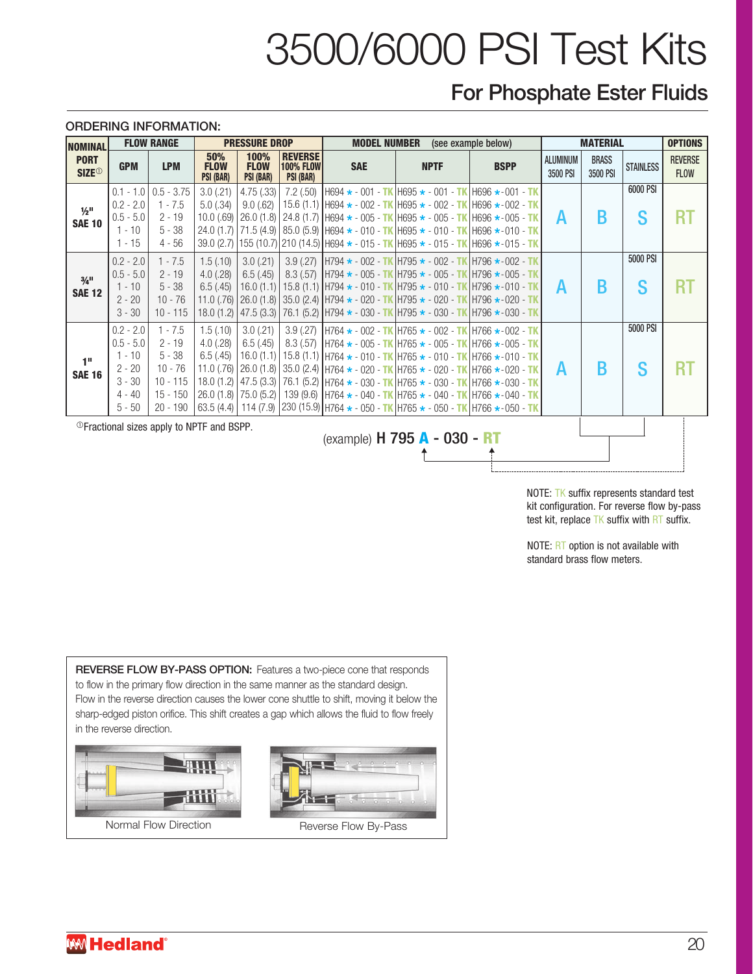# 3500/6000 PSI Test Kits

## For Phosphate Ester Fluids

#### ORDERING INFORMATION:

| <b>NOMINAL</b>                                                                                                                                                                                               |                                                                                        | <b>FLOW RANGE</b>                                                                        |                                                                | <b>PRESSURE DROP</b>                            |                                                        | <b>MODEL NUMBER</b> |             | (see example below)                                                                                                                                                                                                                                                                                                                                                                                                                                                                                                                          | <b>MATERIAL</b>             |                          |                  | <b>OPTIONS</b>                |
|--------------------------------------------------------------------------------------------------------------------------------------------------------------------------------------------------------------|----------------------------------------------------------------------------------------|------------------------------------------------------------------------------------------|----------------------------------------------------------------|-------------------------------------------------|--------------------------------------------------------|---------------------|-------------|----------------------------------------------------------------------------------------------------------------------------------------------------------------------------------------------------------------------------------------------------------------------------------------------------------------------------------------------------------------------------------------------------------------------------------------------------------------------------------------------------------------------------------------------|-----------------------------|--------------------------|------------------|-------------------------------|
| <b>PORT</b><br><b>SIZE<sup>®</sup></b>                                                                                                                                                                       | <b>GPM</b>                                                                             | <b>LPM</b>                                                                               | 50%<br><b>FLOW</b><br>PSI (BAR)                                | 100%<br><b>FLOW</b><br>PSI (BAR)                | <b>REVERSE</b><br><b>100% FLOW</b><br><b>PSI (BAR)</b> | <b>SAE</b>          | <b>NPTF</b> | <b>BSPP</b>                                                                                                                                                                                                                                                                                                                                                                                                                                                                                                                                  | <b>ALUMINUM</b><br>3500 PSI | <b>BRASS</b><br>3500 PSI | <b>STAINLESS</b> | <b>REVERSE</b><br><b>FLOW</b> |
| $1/2$ <sup>11</sup><br><b>SAE 10</b>                                                                                                                                                                         | $0.1 - 1.0$<br>$0.2 - 2.0$<br>$0.5 - 5.0$<br>$1 - 10$<br>$1 - 15$                      | $0.5 - 3.75$<br>$1 - 7.5$<br>$2 - 19$<br>$5 - 38$<br>$4 - 56$                            | $3.0$ (.21)<br>5.0(.34)<br>10.0(.69)<br>24.0(1.7)<br>39.0(2.7) | 4.75(.33)<br>9.0(.62)                           |                                                        |                     |             | 7.2 (.50) $H694 \star -001 - TK$ H695 $\star -001 - TK$ H696 $\star$ -001 - TK<br>15.6 (1.1) H694 $\star$ - 002 - TK H695 $\star$ - 002 - TK H696 $\star$ - 002 - TK<br>$26.0$ (1.8) $24.8$ (1.7) H694 $\star$ - 005 - TK H695 $\star$ - 005 - TK H696 $\star$ -005 - TK<br>71.5 (4.9) 85.0 (5.9) H694 $\star$ - 010 - TK H695 $\star$ - 010 - TK H696 $\star$ - 010 - TK<br>155 (10.7) 210 (14.5) H694 $\star$ - 015 - TK H695 $\star$ - 015 - TK H696 $\star$ -015 - TK                                                                    | A                           | B                        | 6000 PSI<br>S    | RT                            |
| $3/4$ <sup>11</sup><br><b>SAE 12</b>                                                                                                                                                                         | $0.2 - 2.0$<br>$0.5 - 5.0$<br>$1 - 10$<br>$2 - 20$<br>$3 - 30$                         | $1 - 7.5$<br>$2 - 19$<br>$5 - 38$<br>$10 - 76$<br>$10 - 115$                             | 1.5(.10)<br>4.0(.28)<br>6.5(.45)<br>$11.0$ (.76)<br>18.0(1.2)  | 3.0(.21)<br>6.5(.45)<br>16.0(1.1)               |                                                        |                     |             | 3.9 (.27) $H794 \star -002 - TK/H795 \star -002 - TK/H796 \star -002 - TK$<br>8.3 (.57) $H794 \star -005 - TK$ H795 $\star -005 - TK$ H796 $\star -005 - TK$<br>15.8 (1.1) H794 $\star$ - 010 - TK H795 $\star$ - 010 - TK H796 $\star$ - 010 - TK<br>26.0 (1.8) 35.0 (2.4) H794 $\star$ - 020 - TK H795 $\star$ - 020 - TK H796 $\star$ - 020 - TK<br>47.5 (3.3)   76.1 (5.2)   H794 $\star$ - 030 - TK   H795 $\star$ - 030 - TK   H796 $\star$ - 030 - TK                                                                                 | A                           | B                        | 5000 PSI<br>S    | R1                            |
| 1"<br><b>SAE 16</b>                                                                                                                                                                                          | $0.2 - 2.0$<br>$0.5 - 5.0$<br>$1 - 10$<br>$2 - 20$<br>$3 - 30$<br>$4 - 40$<br>$5 - 50$ | $1 - 7.5$<br>$2 - 19$<br>$5 - 38$<br>$10 - 76$<br>$10 - 115$<br>$15 - 150$<br>$20 - 190$ | 1.5(.10)<br>4.0(.28)<br>6.5(.45)<br>$11.0$ (.76)<br>26.0(1.8)  | 3.0(.21)<br>6.5(.45)<br>16.0(1.1)<br>75.0 (5.2) |                                                        |                     |             | 3.9 (.27) $H764 \star -002 - TK$ H765 $\star -002 - TK$ H766 $\star -002 - TK$<br>8.3 (.57) $H764 \star -005 - TKH765 \star -005 - TKH766 \star -005 - TK$<br>15.8 (1.1) H764 $\star$ - 010 - TK H765 $\star$ - 010 - TK H766 $\star$ -010 - TK<br>26.0 (1.8) 35.0 (2.4) $H764 \star - 020 - TK$ $H765 \star - 020 - TK$ $H766 \star - 020 - TK$<br>18.0 (1.2) 47.5 (3.3) 76.1 (5.2) $H764 \star -030 - T K H765 \star -030 - T K H766 \star -030 - T K$<br>139 (9.6) $H764 \star - 040 - TK$ H765 $\star - 040 - TK$ H766 $\star$ -040 - TK | А                           | B                        | 5000 PSI<br>S    | <b>RT</b>                     |
| 63.5 (4.4)   114 (7.9)   230 (15.9)   H764 $\star$ - 050 - TK   H765 $\star$ - 050 - TK   H766 $\star$ - 050 - TK<br><sup>1</sup> OF ractional sizes apply to NPTF and BSPP.<br>(example) H 795 A - 030 - RT |                                                                                        |                                                                                          |                                                                |                                                 |                                                        |                     |             |                                                                                                                                                                                                                                                                                                                                                                                                                                                                                                                                              |                             |                          |                  |                               |

NOTE: TK suffix represents standard test kit configuration. For reverse flow by-pass test kit, replace TK suffix with RT suffix.

NOTE: RT option is not available with standard brass flow meters.

REVERSE FLOW BY-PASS OPTION: Features a two-piece cone that responds to flow in the primary flow direction in the same manner as the standard design. Flow in the reverse direction causes the lower cone shuttle to shift, moving it below the sharp-edged piston orifice. This shift creates a gap which allows the fluid to flow freely in the reverse direction.

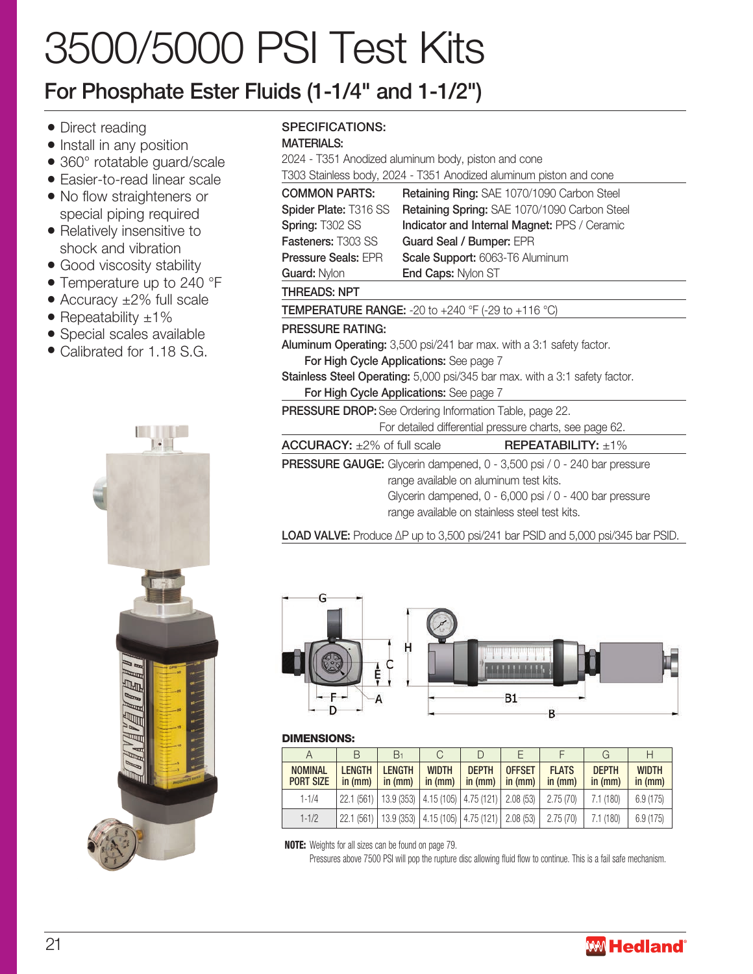# 3500/5000 PSI Test Kits

## For Phosphate Ester Fluids (1-1/4" and 1-1/2")

- Direct reading
- Install in any position
- 360° rotatable guard/scale
- Easier-to-read linear scale
- No flow straighteners or special piping required
- Relatively insensitive to shock and vibration
- Good viscosity stability
- Temperature up to 240 °F
- Accuracy ±2% full scale
- Repeatability  $\pm 1\%$
- Special scales available
- Calibrated for 1.18 S.G.



## SPECIFICATIONS:

#### MATERIALS:

2024 - T351 Anodized aluminum body, piston and cone

T303 Stainless body, 2024 - T351 Anodized aluminum piston and cone

| <b>COMMON PARTS:</b>                                  | Retaining Ring: SAE 1070/1090 Carbon Steel                                         |  |  |  |  |  |  |
|-------------------------------------------------------|------------------------------------------------------------------------------------|--|--|--|--|--|--|
| Spider Plate: T316 SS                                 | Retaining Spring: SAE 1070/1090 Carbon Steel                                       |  |  |  |  |  |  |
| <b>Spring: T302 SS</b>                                | <b>Indicator and Internal Magnet: PPS / Ceramic</b>                                |  |  |  |  |  |  |
| <b>Fasteners: T303 SS</b><br>Guard Seal / Bumper: EPR |                                                                                    |  |  |  |  |  |  |
| <b>Pressure Seals: EPR</b>                            | Scale Support: 6063-T6 Aluminum                                                    |  |  |  |  |  |  |
| <b>Guard: Nylon</b>                                   | <b>End Caps: Nylon ST</b>                                                          |  |  |  |  |  |  |
| <b>THREADS: NPT</b>                                   |                                                                                    |  |  |  |  |  |  |
|                                                       | <b>TEMPERATURE RANGE:</b> -20 to +240 °F (-29 to +116 °C)                          |  |  |  |  |  |  |
| <b>PRESSURE RATING:</b>                               |                                                                                    |  |  |  |  |  |  |
|                                                       | Aluminum Operating: 3,500 psi/241 bar max. with a 3:1 safety factor.               |  |  |  |  |  |  |
|                                                       | For High Cycle Applications: See page 7                                            |  |  |  |  |  |  |
|                                                       | <b>Stainless Steel Operating:</b> 5,000 psi/345 bar max. with a 3:1 safety factor. |  |  |  |  |  |  |
|                                                       | <b>For High Cycle Applications:</b> See page 7                                     |  |  |  |  |  |  |
|                                                       | <b>PRESSURE DROP:</b> See Ordering Information Table, page 22.                     |  |  |  |  |  |  |
|                                                       | For detailed differential pressure charts, see page 62.                            |  |  |  |  |  |  |
| $ACCURACY: \pm 2\%$ of full scale                     | <b>REPEATABILITY:</b> $\pm 1\%$                                                    |  |  |  |  |  |  |
|                                                       | <b>PRESSURE GAUGE:</b> Glycerin dampened, 0 - 3,500 psi / 0 - 240 bar pressure     |  |  |  |  |  |  |
|                                                       | range available on aluminum test kits.                                             |  |  |  |  |  |  |
|                                                       | Glycerin dampened, 0 - 6,000 psi / 0 - 400 bar pressure                            |  |  |  |  |  |  |
|                                                       | range available on stainless steel test kits.                                      |  |  |  |  |  |  |

LOAD VALVE: Produce ∆P up to 3,500 psi/241 bar PSID and 5,000 psi/345 bar PSID.



#### DIMENSIONS:

| А                                  |                          | B٠                                                            |                           |                           |                                  |                         |                         | Н                       |
|------------------------------------|--------------------------|---------------------------------------------------------------|---------------------------|---------------------------|----------------------------------|-------------------------|-------------------------|-------------------------|
| <b>NOMINAL</b><br><b>PORT SIZE</b> | <b>LENGTH</b><br>in (mm) | <b>LENGTH</b><br>in (mm)                                      | <b>WIDTH</b><br>in $(mm)$ | <b>DEPTH</b><br>in $(mm)$ | <b>OFFSET</b><br>$\vert$ in (mm) | <b>FLATS</b><br>in (mm) | <b>DEPTH</b><br>in (mm) | <b>WIDTH</b><br>in (mm) |
| $1 - 1/4$                          |                          | 22.1 (561)   13.9 (353)   4.15 (105)   4.75 (121)   2.08 (53) |                           |                           |                                  | 2.75(70)                | 7.1 (180)               | 6.9(175)                |
| $1 - 1/2$                          |                          | 22.1 (561)   13.9 (353)   4.15 (105)   4.75 (121)   2.08 (53) |                           |                           |                                  | 2.75(70)                | 7.1(180)                | 6.9(175)                |

NOTE: Weights for all sizes can be found on page 79.

Pressures above 7500 PSI will pop the rupture disc allowing fluid flow to continue. This is a fail safe mechanism.

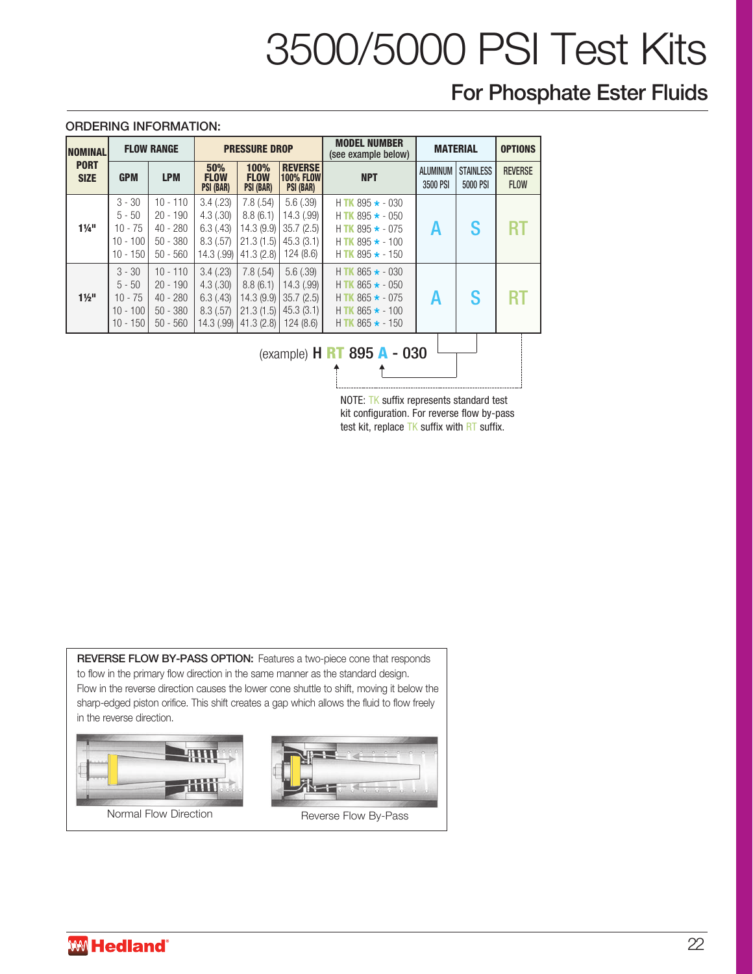# 3500/5000 PSI Test Kits

## For Phosphate Ester Fluids

#### ORDERING INFORMATION:

| INOMINAL                     |                                                               | <b>FLOW RANGE</b>                                                  |                                                                                  | <b>PRESSURE DROP</b>                                        |                                                              | <b>MODEL NUMBER</b><br>(see example below)                                                                                           |                             | <b>MATERIAL</b>              | <b>OPTIONS</b>                |
|------------------------------|---------------------------------------------------------------|--------------------------------------------------------------------|----------------------------------------------------------------------------------|-------------------------------------------------------------|--------------------------------------------------------------|--------------------------------------------------------------------------------------------------------------------------------------|-----------------------------|------------------------------|-------------------------------|
| <b>PORT</b><br><b>SIZE</b>   | <b>GPM</b>                                                    | <b>LPM</b>                                                         | 100%<br>50%<br><b>FLOW</b><br><b>FLOW</b><br>PSI (BAR)<br>PSI (BAR)<br>PSI (BAR) |                                                             | <b>REVERSE</b><br><b>100% FLOW</b>                           | <b>NPT</b>                                                                                                                           | <b>ALUMINUM</b><br>3500 PSI | <b>STAINLESS</b><br>5000 PSI | <b>REVERSE</b><br><b>FLOW</b> |
| $1\frac{1}{4}$ <sup>11</sup> | $3 - 30$<br>$5 - 50$<br>$10 - 75$<br>$10 - 100$<br>$10 - 150$ | $10 - 110$<br>$20 - 190$<br>$40 - 280$<br>$50 - 380$<br>$50 - 560$ | 3.4(.23)<br>4.3(.30)<br>6.3(0.43)<br>8.3(.57)<br>14.3 (.99)                      | 7.8(.54)<br>8.8(6.1)<br>14.3(9.9)<br>21.3(1.5)<br>41.3(2.8) | 5.6(.39)<br>14.3 (.99)<br>35.7(2.5)<br>45.3(3.1)<br>124(8.6) | H TK 895 $\star$ - 030<br>$H$ TK 895 $\star$ - 050<br>H TK 895 $\star$ - 075<br>$H$ TK 895 $\star$ - 100<br>$H$ TK 895 $\star$ - 150 | Α                           | S                            | RT                            |
| $1\frac{1}{2}$               | $3 - 30$<br>$5 - 50$<br>$10 - 75$<br>$10 - 100$<br>$10 - 150$ | $10 - 110$<br>$20 - 190$<br>$40 - 280$<br>$50 - 380$<br>$50 - 560$ | 3.4(.23)<br>4.3(.30)<br>6.3(43)<br>8.3(.57)<br>14.3 (.99)                        | 7.8(.54)<br>8.8(6.1)<br>14.3(9.9)<br>21.3(1.5)<br>41.3(2.8) | 5.6(.39)<br>14.3(.99)<br>35.7(2.5)<br>45.3(3.1)<br>124(8.6)  | H TK $865 \star -030$<br>H TK $865 \star -050$<br>$H$ TK 865 $\star$ - 075<br>$H$ TK 865 $\star$ - 100<br>$H$ TK 865 $\star$ - 150   | A                           | S                            | RT                            |
|                              |                                                               |                                                                    |                                                                                  |                                                             |                                                              | (example) $H \, \text{RT} \, 895 \, \text{A} - 030$                                                                                  |                             |                              |                               |

NOTE: TK suffix represents standard test kit configuration. For reverse flow by-pass test kit, replace TK suffix with RT suffix.

REVERSE FLOW BY-PASS OPTION: Features a two-piece cone that responds to flow in the primary flow direction in the same manner as the standard design. Flow in the reverse direction causes the lower cone shuttle to shift, moving it below the sharp-edged piston orifice. This shift creates a gap which allows the fluid to flow freely in the reverse direction.

Normal Flow Direction Normal Flow Direction Reverse Flow By-Pass

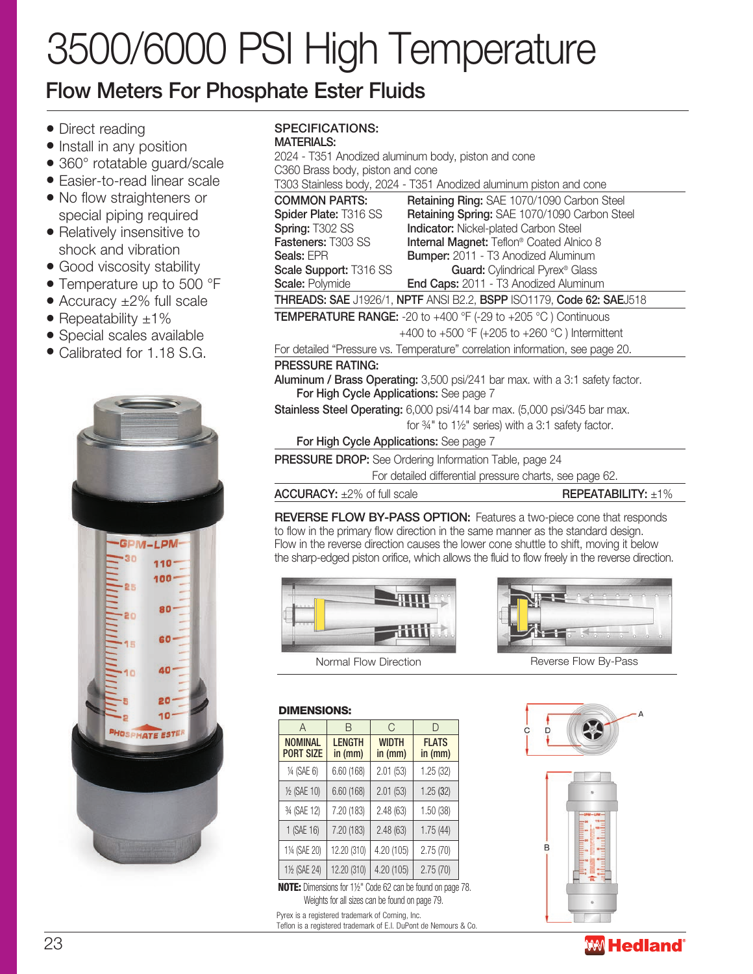# 3500/6000 PSI High Temperature

## Flow Meters For Phosphate Ester Fluids

- Direct reading
- Install in any position
- 360° rotatable guard/scale
- Easier-to-read linear scale
- No flow straighteners or special piping required
- Relatively insensitive to shock and vibration
- Good viscosity stability
- Temperature up to 500 °F
- Accuracy ±2% full scale
- Repeatability  $\pm 1\%$
- Special scales available
- Calibrated for 1.18 S.G.



#### SPECIFICATIONS: MATERIALS:

2024 - T351 Anodized aluminum body, piston and cone C360 Brass body, piston and cone

T303 Stainless body, 2024 - T351 Anodized aluminum piston and cone

| <b>COMMON PARTS:</b>                                                                   | Retaining Ring: SAE 1070/1090 Carbon Steel                           |  |  |  |  |  |
|----------------------------------------------------------------------------------------|----------------------------------------------------------------------|--|--|--|--|--|
| Spider Plate: T316 SS                                                                  | Retaining Spring: SAE 1070/1090 Carbon Steel                         |  |  |  |  |  |
| Spring: T302 SS                                                                        | <b>Indicator:</b> Nickel-plated Carbon Steel                         |  |  |  |  |  |
| Fasteners: T303 SS                                                                     | Internal Magnet: Teflon® Coated Alnico 8                             |  |  |  |  |  |
| Seals: EPR                                                                             | <b>Bumper:</b> 2011 - T3 Anodized Aluminum                           |  |  |  |  |  |
| Scale Support: T316 SS                                                                 | Guard: Cylindrical Pyrex <sup>®</sup> Glass                          |  |  |  |  |  |
| <b>Scale: Polymide</b>                                                                 | End Caps: 2011 - T3 Anodized Aluminum                                |  |  |  |  |  |
|                                                                                        | THREADS: SAE J1926/1, NPTF ANSI B2.2, BSPP ISO1179, Code 62: SAEJ518 |  |  |  |  |  |
| <b>TEMPERATURE RANGE:</b> -20 to +400 $\degree$ F (-29 to +205 $\degree$ C) Continuous |                                                                      |  |  |  |  |  |
|                                                                                        | +400 to +500 °F (+205 to +260 °C) Intermittent                       |  |  |  |  |  |

For detailed "Pressure vs. Temperature" correlation information, see page 20.

## PRESSURE RATING:

Aluminum / Brass Operating: 3,500 psi/241 bar max. with a 3:1 safety factor. For High Cycle Applications: See page 7

Stainless Steel Operating: 6,000 psi/414 bar max. (5,000 psi/345 bar max. for ¾" to 1½" series) with a 3:1 safety factor.

For High Cycle Applications: See page 7

PRESSURE DROP: See Ordering Information Table, page 24

For detailed differential pressure charts, see page 62.

 $\text{ACCURACY: } \pm 2\% \text{ of full scale}$  REPEATABILITY:  $\pm 1\%$ 

REVERSE FLOW BY-PASS OPTION: Features a two-piece cone that responds to flow in the primary flow direction in the same manner as the standard design. Flow in the reverse direction causes the lower cone shuttle to shift, moving it below the sharp-edged piston orifice, which allows the fluid to flow freely in the reverse direction.



A | B | C | D

 $\frac{1}{4}$  (SAE 6) | 6.60 (168) | 2.01 (53) | 1.25 (32)  $\frac{1}{2}$  (SAE 10) 6.60 (168) 2.01 (53) 1.25 (32) ¾ (SAE 12) 7.20 (183) 2.48 (63) 1.50 (38) 1 (SAE 16) 7.20 (183) 2.48 (63) 1.75 (44) 1¼ (SAE 20) 12.20 (310) 4.20 (105) 2.75 (70) 1½ (SAE 24) 12.20 (310) 4.20 (105) 2.75 (70)

**WIDTH** in (mm)

FLATS in (mm)

**LENGTH** in (mm)

DIMENSIONS:

NOMINAL PORT SIZE

NOTE: Dimensions for 1½" Code 62 can be found on page 78. Weights for all sizes can be found on page 79.

Teflon is a registered trademark of E.I. DuPont de Nemours & Co.

Pyrex is a registered trademark of Corning, Inc.



Normal Flow Direction Normal Flow By-Pass Reverse Flow By-Pass

# $\overline{D}$ B